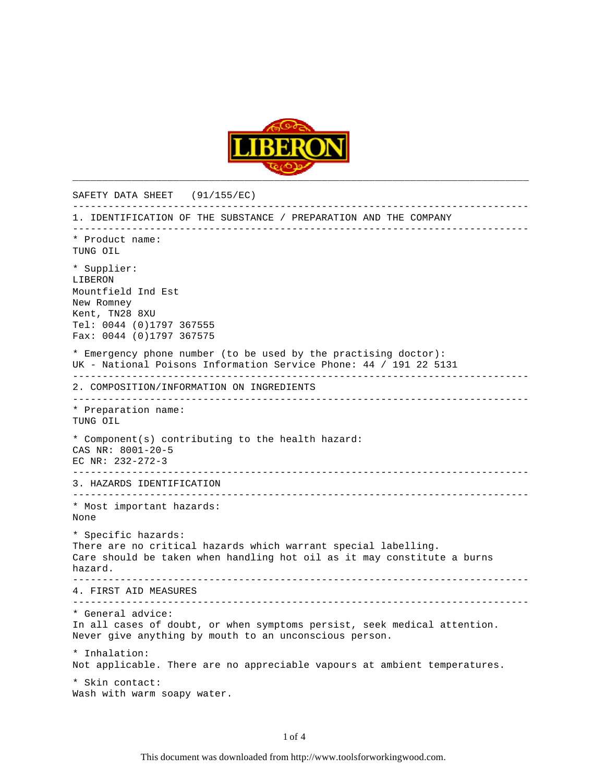

SAFETY DATA SHEET (91/155/EC) ----------------------------------------------------------------------------- 1. IDENTIFICATION OF THE SUBSTANCE / PREPARATION AND THE COMPANY ----------------------------------------------------------------------------- \* Product name: TUNG OIL \* Supplier: LIBERON Mountfield Ind Est New Romney Kent, TN28 8XU Tel: 0044 (0)1797 367555 Fax: 0044 (0)1797 367575 \* Emergency phone number (to be used by the practising doctor): UK - National Poisons Information Service Phone: 44 / 191 22 5131 ----------------------------------------------------------------------------- 2. COMPOSITION/INFORMATION ON INGREDIENTS ----------------------------------------------------------------------------- \* Preparation name: TUNG OIL \* Component(s) contributing to the health hazard: CAS NR: 8001-20-5 EC NR: 232-272-3 ----------------------------------------------------------------------------- 3. HAZARDS IDENTIFICATION ----------------------------------------------------------------------------- \* Most important hazards: None \* Specific hazards: There are no critical hazards which warrant special labelling. Care should be taken when handling hot oil as it may constitute a burns hazard. ----------------------------------------------------------------------------- 4. FIRST AID MEASURES ----------------------------------------------------------------------------- \* General advice: In all cases of doubt, or when symptoms persist, seek medical attention. Never give anything by mouth to an unconscious person. \* Inhalation: Not applicable. There are no appreciable vapours at ambient temperatures. \* Skin contact: Wash with warm soapy water.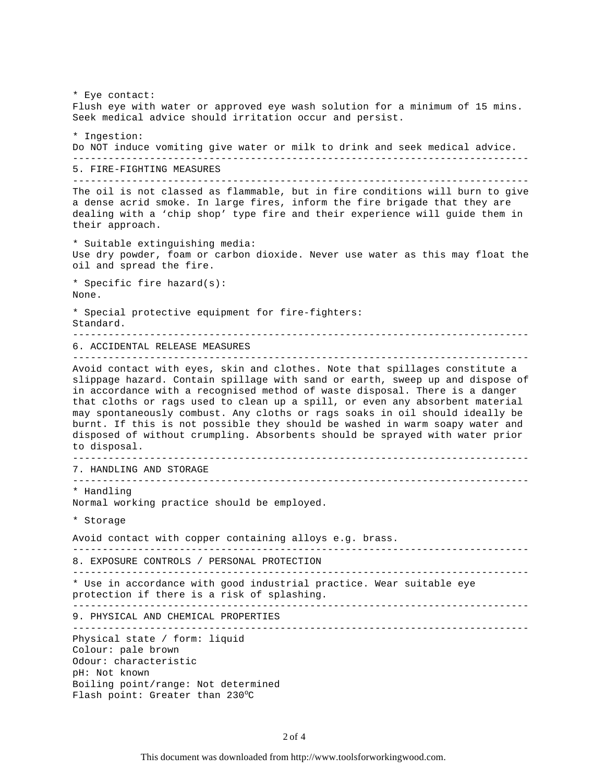\* Eye contact: Flush eye with water or approved eye wash solution for a minimum of 15 mins. Seek medical advice should irritation occur and persist. \* Ingestion: Do NOT induce vomiting give water or milk to drink and seek medical advice. ----------------------------------------------------------------------------- 5. FIRE-FIGHTING MEASURES ----------------------------------------------------------------------------- The oil is not classed as flammable, but in fire conditions will burn to give a dense acrid smoke. In large fires, inform the fire brigade that they are dealing with a 'chip shop' type fire and their experience will guide them in their approach. \* Suitable extinguishing media: Use dry powder, foam or carbon dioxide. Never use water as this may float the oil and spread the fire. \* Specific fire hazard(s): None. \* Special protective equipment for fire-fighters: Standard. ----------------------------------------------------------------------------- 6. ACCIDENTAL RELEASE MEASURES ----------------------------------------------------------------------------- Avoid contact with eyes, skin and clothes. Note that spillages constitute a slippage hazard. Contain spillage with sand or earth, sweep up and dispose of in accordance with a recognised method of waste disposal. There is a danger that cloths or rags used to clean up a spill, or even any absorbent material may spontaneously combust. Any cloths or rags soaks in oil should ideally be burnt. If this is not possible they should be washed in warm soapy water and disposed of without crumpling. Absorbents should be sprayed with water prior to disposal. ----------------------------------------------------------------------------- 7. HANDLING AND STORAGE ----------------------------------------------------------------------------- \* Handling Normal working practice should be employed. \* Storage Avoid contact with copper containing alloys e.g. brass. ----------------------------------------------------------------------------- 8. EXPOSURE CONTROLS / PERSONAL PROTECTION ----------------------------------------------------------------------------- \* Use in accordance with good industrial practice. Wear suitable eye protection if there is a risk of splashing. ----------------------------------------------------------------------------- 9. PHYSICAL AND CHEMICAL PROPERTIES ----------------------------------------------------------------------------- Physical state / form: liquid Colour: pale brown Odour: characteristic pH: Not known Boiling point/range: Not determined Flash point: Greater than  $230^{\circ}$ C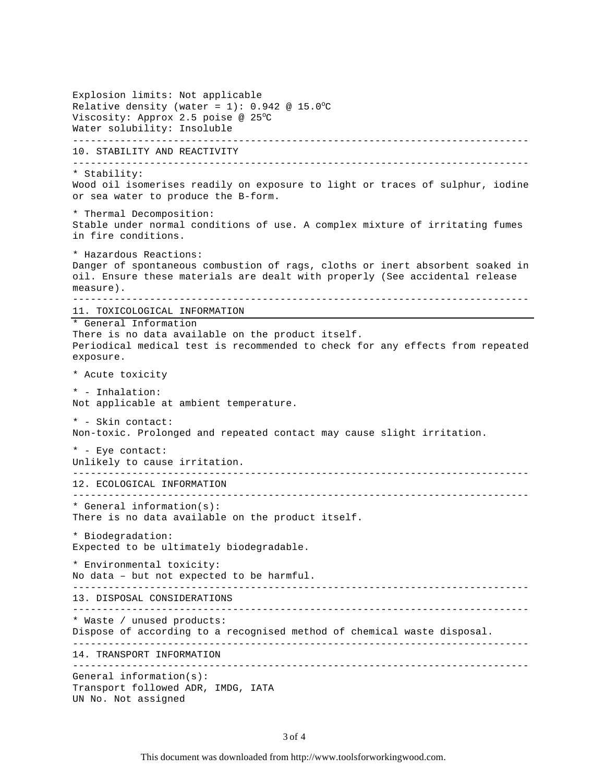```
Explosion limits: Not applicable
Relative density (water = 1): 0.942 @ 15.0°C
Viscosity: Approx 2.5 poise @ 25^{\circ}C
Water solubility: Insoluble
-----------------------------------------------------------------------------
10. STABILITY AND REACTIVITY
-----------------------------------------------------------------------------
* Stability:
Wood oil isomerises readily on exposure to light or traces of sulphur, iodine
or sea water to produce the B-form.
* Thermal Decomposition:
Stable under normal conditions of use. A complex mixture of irritating fumes
in fire conditions.
* Hazardous Reactions:
Danger of spontaneous combustion of rags, cloths or inert absorbent soaked in
oil. Ensure these materials are dealt with properly (See accidental release
measure).
-----------------------------------------------------------------------------
11. TOXICOLOGICAL INFORMATION
* General Information
There is no data available on the product itself.
Periodical medical test is recommended to check for any effects from repeated
exposure.
* Acute toxicity
* - Inhalation:
Not applicable at ambient temperature.
* - Skin contact:
Non-toxic. Prolonged and repeated contact may cause slight irritation.
* - Eye contact:
Unlikely to cause irritation.
-----------------------------------------------------------------------------
12. ECOLOGICAL INFORMATION
   -----------------------------------------------------------------------------
* General information(s):
There is no data available on the product itself.
* Biodegradation:
Expected to be ultimately biodegradable.
* Environmental toxicity:
No data – but not expected to be harmful.
   -----------------------------------------------------------------------------
13. DISPOSAL CONSIDERATIONS
-----------------------------------------------------------------------------
* Waste / unused products:
Dispose of according to a recognised method of chemical waste disposal.
-----------------------------------------------------------------------------
14. TRANSPORT INFORMATION
-----------------------------------------------------------------------------
General information(s):
Transport followed ADR, IMDG, IATA
UN No. Not assigned
```